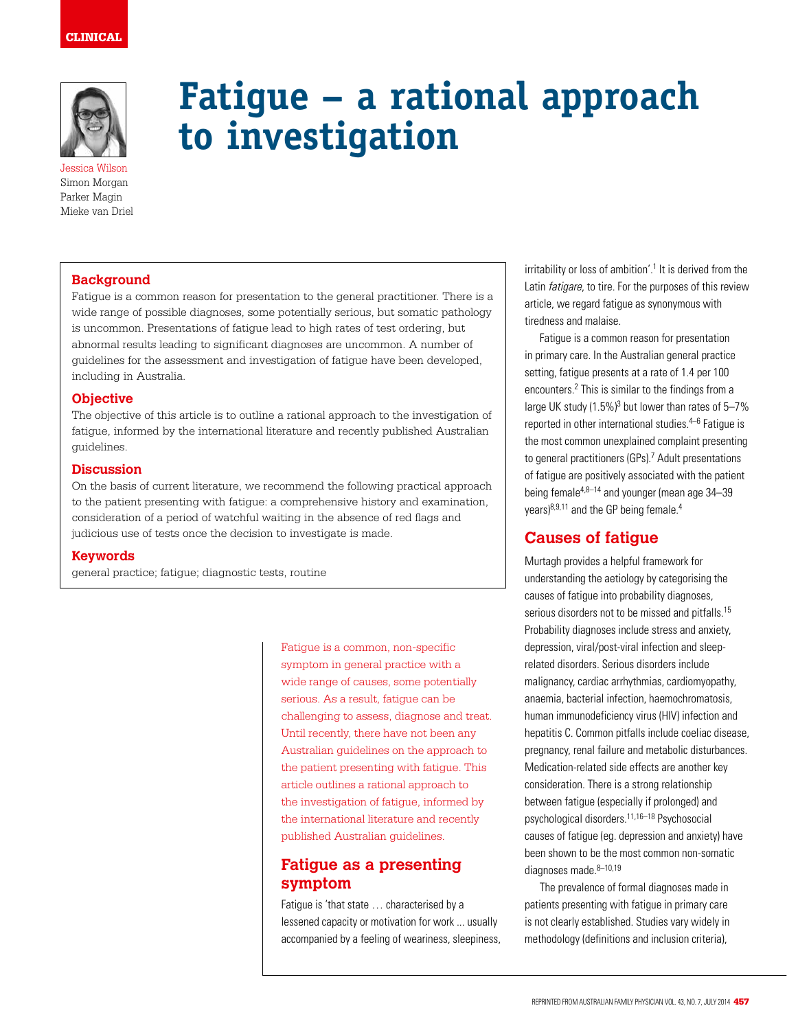

Jessica Wilson Simon Morgan Parker Magin Mieke van Driel

## **Background**

Fatigue is a common reason for presentation to the general practitioner. There is a wide range of possible diagnoses, some potentially serious, but somatic pathology is uncommon. Presentations of fatigue lead to high rates of test ordering, but abnormal results leading to significant diagnoses are uncommon. A number of guidelines for the assessment and investigation of fatigue have been developed, including in Australia.

**to investigation**

### **Objective**

The objective of this article is to outline a rational approach to the investigation of fatigue, informed by the international literature and recently published Australian guidelines.

#### **Discussion**

On the basis of current literature, we recommend the following practical approach to the patient presenting with fatigue: a comprehensive history and examination, consideration of a period of watchful waiting in the absence of red flags and judicious use of tests once the decision to investigate is made.

#### **Keywords**

general practice; fatigue; diagnostic tests, routine

Fatigue is a common, non-specific symptom in general practice with a wide range of causes, some potentially serious. As a result, fatigue can be challenging to assess, diagnose and treat. Until recently, there have not been any Australian guidelines on the approach to the patient presenting with fatigue. This article outlines a rational approach to the investigation of fatigue, informed by the international literature and recently published Australian guidelines.

**Fatigue – a rational approach** 

# **Fatigue as a presenting symptom**

Fatigue is 'that state … characterised by a lessened capacity or motivation for work ... usually accompanied by a feeling of weariness, sleepiness,

irritability or loss of ambition'.<sup>1</sup> It is derived from the Latin *fatigare*, to tire. For the purposes of this review article, we regard fatigue as synonymous with tiredness and malaise.

Fatigue is a common reason for presentation in primary care. In the Australian general practice setting, fatigue presents at a rate of 1.4 per 100 encounters.2 This is similar to the findings from a large UK study (1.5%)<sup>3</sup> but lower than rates of 5-7% reported in other international studies.4–6 Fatigue is the most common unexplained complaint presenting to general practitioners (GPs).<sup>7</sup> Adult presentations of fatigue are positively associated with the patient being female<sup>4,8-14</sup> and younger (mean age 34-39 years)<sup>8,9,11</sup> and the GP being female.<sup>4</sup>

# **Causes of fatigue**

Murtagh provides a helpful framework for understanding the aetiology by categorising the causes of fatigue into probability diagnoses, serious disorders not to be missed and pitfalls.<sup>15</sup> Probability diagnoses include stress and anxiety, depression, viral/post-viral infection and sleeprelated disorders. Serious disorders include malignancy, cardiac arrhythmias, cardiomyopathy, anaemia, bacterial infection, haemochromatosis, human immunodeficiency virus (HIV) infection and hepatitis C. Common pitfalls include coeliac disease, pregnancy, renal failure and metabolic disturbances. Medication-related side effects are another key consideration. There is a strong relationship between fatigue (especially if prolonged) and psychological disorders.11,16–18 Psychosocial causes of fatigue (eg. depression and anxiety) have been shown to be the most common non-somatic diagnoses made.<sup>8-10,19</sup>

The prevalence of formal diagnoses made in patients presenting with fatigue in primary care is not clearly established. Studies vary widely in methodology (definitions and inclusion criteria),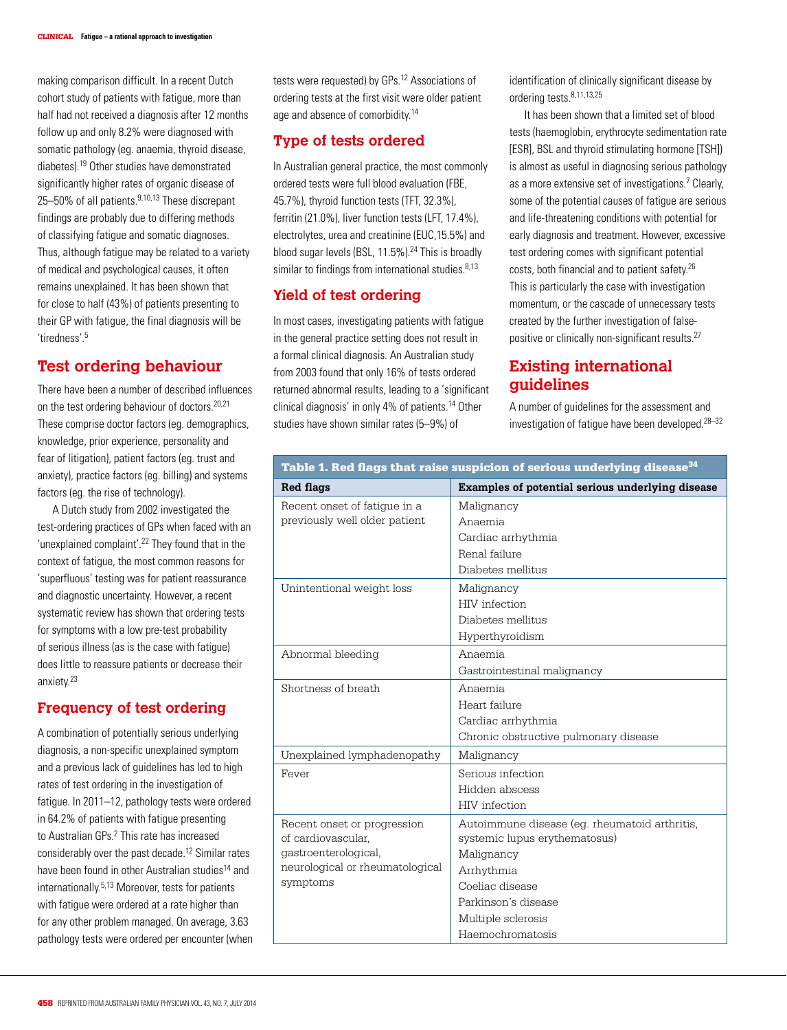making comparison difficult. In a recent Dutch cohort study of patients with fatigue, more than half had not received a diagnosis after 12 months follow up and only 8.2% were diagnosed with somatic pathology (eg. anaemia, thyroid disease, diabetes).19 Other studies have demonstrated significantly higher rates of organic disease of 25–50% of all patients.9,10,13 These discrepant findings are probably due to differing methods of classifying fatigue and somatic diagnoses. Thus, although fatigue may be related to a variety of medical and psychological causes, it often remains unexplained. It has been shown that for close to half (43%) of patients presenting to their GP with fatigue, the final diagnosis will be 'tiredness'.5

# **Test ordering behaviour**

There have been a number of described influences on the test ordering behaviour of doctors.20,21 These comprise doctor factors (eg. demographics, knowledge, prior experience, personality and fear of litigation), patient factors (eg. trust and anxiety), practice factors (eg. billing) and systems factors (eg. the rise of technology).

A Dutch study from 2002 investigated the test-ordering practices of GPs when faced with an 'unexplained complaint'.22 They found that in the context of fatigue, the most common reasons for 'superfluous' testing was for patient reassurance and diagnostic uncertainty. However, a recent systematic review has shown that ordering tests for symptoms with a low pre-test probability of serious illness (as is the case with fatigue) does little to reassure patients or decrease their anxiety.23

## **Frequency of test ordering**

A combination of potentially serious underlying diagnosis, a non-specific unexplained symptom and a previous lack of guidelines has led to high rates of test ordering in the investigation of fatigue. In 2011–12, pathology tests were ordered in 64.2% of patients with fatigue presenting to Australian GPs.<sup>2</sup> This rate has increased considerably over the past decade.12 Similar rates have been found in other Australian studies<sup>14</sup> and internationally.5,13 Moreover, tests for patients with fatigue were ordered at a rate higher than for any other problem managed. On average, 3.63 pathology tests were ordered per encounter (when tests were requested) by GPs.12 Associations of ordering tests at the first visit were older patient age and absence of comorbidity.14

## **Type of tests ordered**

In Australian general practice, the most commonly ordered tests were full blood evaluation (FBE, 45.7%), thyroid function tests (TFT, 32.3%), ferritin (21.0%), liver function tests (LFT, 17.4%), electrolytes, urea and creatinine (EUC,15.5%) and blood sugar levels (BSL, 11.5%).24 This is broadly similar to findings from international studies. 8,13

## **Yield of test ordering**

In most cases, investigating patients with fatigue in the general practice setting does not result in a formal clinical diagnosis. An Australian study from 2003 found that only 16% of tests ordered returned abnormal results, leading to a 'significant clinical diagnosis' in only 4% of patients.14 Other studies have shown similar rates (5–9%) of

identification of clinically significant disease by ordering tests.8,11,13,25

It has been shown that a limited set of blood tests (haemoglobin, erythrocyte sedimentation rate [ESR], BSL and thyroid stimulating hormone [TSH]) is almost as useful in diagnosing serious pathology as a more extensive set of investigations.<sup>7</sup> Clearly, some of the potential causes of fatigue are serious and life-threatening conditions with potential for early diagnosis and treatment. However, excessive test ordering comes with significant potential costs, both financial and to patient safety.26 This is particularly the case with investigation momentum, or the cascade of unnecessary tests created by the further investigation of falsepositive or clinically non-significant results.<sup>27</sup>

# **Existing international guidelines**

A number of guidelines for the assessment and investigation of fatigue have been developed.28–32

| Table 1. Red flags that raise suspicion of serious underlying disease <sup>34</sup> |                                                  |
|-------------------------------------------------------------------------------------|--------------------------------------------------|
| Red flags                                                                           | Examples of potential serious underlying disease |
| Recent onset of fatigue in a                                                        | Malignancy                                       |
| previously well older patient                                                       | Anaemia                                          |
|                                                                                     | Cardiac arrhythmia                               |
|                                                                                     | Renal failure                                    |
|                                                                                     | Diabetes mellitus                                |
| Unintentional weight loss                                                           | Malignancy                                       |
|                                                                                     | HIV infection                                    |
|                                                                                     | Diabetes mellitus                                |
|                                                                                     | Hyperthyroidism                                  |
| Abnormal bleeding                                                                   | Anaemia                                          |
|                                                                                     | Gastrointestinal malignancy                      |
| Shortness of breath                                                                 | Anaemia                                          |
|                                                                                     | Heart failure                                    |
|                                                                                     | Cardiac arrhythmia                               |
|                                                                                     | Chronic obstructive pulmonary disease            |
| Unexplained lymphadenopathy                                                         | Malignancy                                       |
| Fever                                                                               | Serious infection                                |
|                                                                                     | Hidden abscess                                   |
|                                                                                     | HIV infection                                    |
| Recent onset or progression                                                         | Autoimmune disease (eg. rheumatoid arthritis,    |
| of cardiovascular.                                                                  | systemic lupus erythematosus)                    |
| gastroenterological,                                                                | Malignancy                                       |
| neurological or rheumatological                                                     | Arrhythmia                                       |
| symptoms                                                                            | Coeliac disease                                  |
|                                                                                     | Parkinson's disease                              |
|                                                                                     | Multiple sclerosis                               |
|                                                                                     | Haemochromatosis                                 |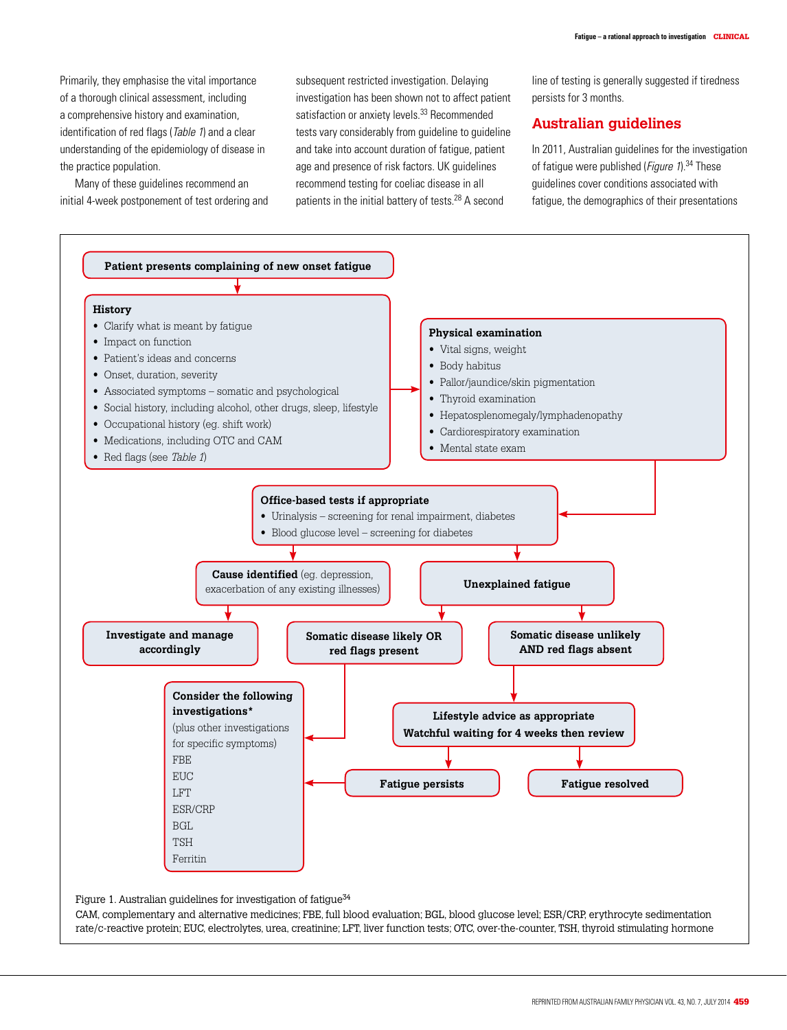Primarily, they emphasise the vital importance of a thorough clinical assessment, including a comprehensive history and examination, identification of red flags (*Table 1*) and a clear understanding of the epidemiology of disease in the practice population.

Many of these guidelines recommend an initial 4-week postponement of test ordering and

subsequent restricted investigation. Delaying investigation has been shown not to affect patient satisfaction or anxiety levels.<sup>33</sup> Recommended tests vary considerably from guideline to guideline and take into account duration of fatigue, patient age and presence of risk factors. UK guidelines recommend testing for coeliac disease in all patients in the initial battery of tests.28 A second

line of testing is generally suggested if tiredness persists for 3 months.

## **Australian guidelines**

In 2011, Australian guidelines for the investigation of fatigue were published (*Figure 1*).<sup>34</sup> These guidelines cover conditions associated with fatigue, the demographics of their presentations

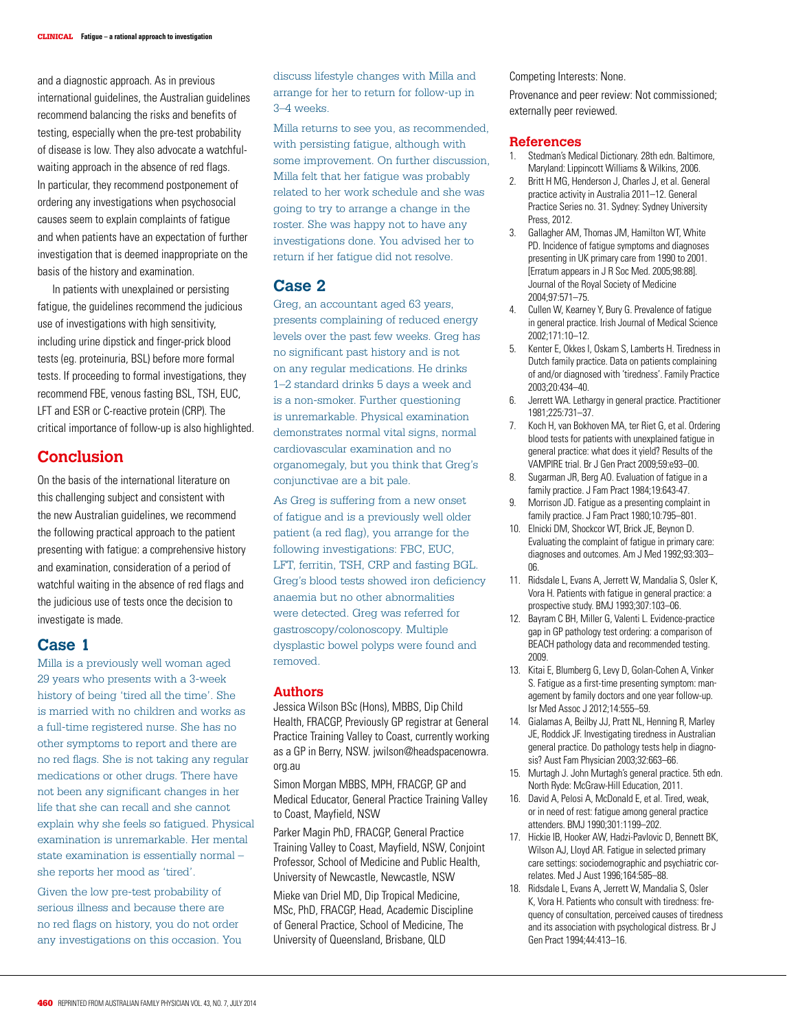and a diagnostic approach. As in previous international guidelines, the Australian guidelines recommend balancing the risks and benefits of testing, especially when the pre-test probability of disease is low. They also advocate a watchfulwaiting approach in the absence of red flags. In particular, they recommend postponement of ordering any investigations when psychosocial causes seem to explain complaints of fatigue and when patients have an expectation of further investigation that is deemed inappropriate on the basis of the history and examination.

In patients with unexplained or persisting fatigue, the guidelines recommend the judicious use of investigations with high sensitivity, including urine dipstick and finger-prick blood tests (eg. proteinuria, BSL) before more formal tests. If proceeding to formal investigations, they recommend FBE, venous fasting BSL, TSH, EUC, LFT and ESR or C-reactive protein (CRP). The critical importance of follow-up is also highlighted.

# **Conclusion**

On the basis of the international literature on this challenging subject and consistent with the new Australian guidelines, we recommend the following practical approach to the patient presenting with fatigue: a comprehensive history and examination, consideration of a period of watchful waiting in the absence of red flags and the judicious use of tests once the decision to investigate is made.

### **Case 1**

Milla is a previously well woman aged 29 years who presents with a 3-week history of being 'tired all the time'. She is married with no children and works as a full-time registered nurse. She has no other symptoms to report and there are no red flags. She is not taking any regular medications or other drugs. There have not been any significant changes in her life that she can recall and she cannot explain why she feels so fatigued. Physical examination is unremarkable. Her mental state examination is essentially normal – she reports her mood as 'tired'.

Given the low pre-test probability of serious illness and because there are no red flags on history, you do not order any investigations on this occasion. You discuss lifestyle changes with Milla and arrange for her to return for follow-up in 3–4 weeks.

Milla returns to see you, as recommended, with persisting fatigue, although with some improvement. On further discussion, Milla felt that her fatigue was probably related to her work schedule and she was going to try to arrange a change in the roster. She was happy not to have any investigations done. You advised her to return if her fatigue did not resolve.

## **Case 2**

Greg, an accountant aged 63 years, presents complaining of reduced energy levels over the past few weeks. Greg has no significant past history and is not on any regular medications. He drinks 1–2 standard drinks 5 days a week and is a non-smoker. Further questioning is unremarkable. Physical examination demonstrates normal vital signs, normal cardiovascular examination and no organomegaly, but you think that Greg's conjunctivae are a bit pale.

As Greg is suffering from a new onset of fatigue and is a previously well older patient (a red flag), you arrange for the following investigations: FBC, EUC, LFT, ferritin, TSH, CRP and fasting BGL. Greg's blood tests showed iron deficiency anaemia but no other abnormalities were detected. Greg was referred for gastroscopy/colonoscopy. Multiple dysplastic bowel polyps were found and removed.

#### **Authors**

Jessica Wilson BSc (Hons), MBBS, Dip Child Health, FRACGP, Previously GP registrar at General Practice Training Valley to Coast, currently working as a GP in Berry, NSW. jwilson@headspacenowra. org.au

Simon Morgan MBBS, MPH, FRACGP, GP and Medical Educator, General Practice Training Valley to Coast, Mayfield, NSW

Parker Magin PhD, FRACGP, General Practice Training Valley to Coast, Mayfield, NSW, Conjoint Professor, School of Medicine and Public Health, University of Newcastle, Newcastle, NSW

Mieke van Driel MD, Dip Tropical Medicine, MSc, PhD, FRACGP, Head, Academic Discipline of General Practice, School of Medicine, The University of Queensland, Brisbane, QLD

Competing Interests: None.

Provenance and peer review: Not commissioned; externally peer reviewed.

#### **References**

- 1. Stedman's Medical Dictionary. 28th edn. Baltimore, Maryland: Lippincott Williams & Wilkins, 2006.
- 2. Britt H MG, Henderson J, Charles J, et al. General practice activity in Australia 2011–12. General Practice Series no. 31. Sydney: Sydney University Press, 2012.
- 3. Gallagher AM, Thomas JM, Hamilton WT, White PD. Incidence of fatigue symptoms and diagnoses presenting in UK primary care from 1990 to 2001. [Erratum appears in J R Soc Med. 2005;98:88]. Journal of the Royal Society of Medicine 2004;97:571–75.
- 4. Cullen W, Kearney Y, Bury G. Prevalence of fatigue in general practice. Irish Journal of Medical Science 2002;171:10–12.
- 5. Kenter E, Okkes I, Oskam S, Lamberts H. Tiredness in Dutch family practice. Data on patients complaining of and/or diagnosed with 'tiredness'. Family Practice 2003;20:434–40.
- 6. Jerrett WA. Lethargy in general practice. Practitioner 1981;225:731–37.
- 7. Koch H, van Bokhoven MA, ter Riet G, et al. Ordering blood tests for patients with unexplained fatigue in general practice: what does it yield? Results of the VAMPIRE trial. Br J Gen Pract 2009;59:e93–00.
- 8. Sugarman JR, Berg AO. Evaluation of fatigue in a family practice. J Fam Pract 1984;19:643-47.
- 9. Morrison JD. Fatigue as a presenting complaint in family practice. J Fam Pract 1980;10:795–801.
- 10. Elnicki DM, Shockcor WT, Brick JE, Beynon D. Evaluating the complaint of fatigue in primary care: diagnoses and outcomes. Am J Med 1992;93:303– 06.
- 11. Ridsdale L, Evans A, Jerrett W, Mandalia S, Osler K, Vora H. Patients with fatigue in general practice: a prospective study. BMJ 1993;307:103–06.
- 12. Bayram C BH, Miller G, Valenti L. Evidence-practice gap in GP pathology test ordering: a comparison of BEACH pathology data and recommended testing. 2009.
- 13. Kitai E, Blumberg G, Levy D, Golan-Cohen A, Vinker S. Fatigue as a first-time presenting symptom: management by family doctors and one year follow-up. Isr Med Assoc J 2012;14:555–59.
- 14. Gialamas A, Beilby JJ, Pratt NL, Henning R, Marley JE, Roddick JF. Investigating tiredness in Australian general practice. Do pathology tests help in diagnosis? Aust Fam Physician 2003;32:663–66.
- 15. Murtagh J. John Murtagh's general practice. 5th edn. North Ryde: McGraw-Hill Education, 2011.
- 16. David A, Pelosi A, McDonald E, et al. Tired, weak, or in need of rest: fatigue among general practice attenders. BMJ 1990;301:1199–202.
- 17. Hickie IB, Hooker AW, Hadzi-Pavlovic D, Bennett BK, Wilson AJ, Lloyd AR. Fatigue in selected primary care settings: sociodemographic and psychiatric correlates. Med J Aust 1996;164:585–88.
- 18. Ridsdale L, Evans A, Jerrett W, Mandalia S, Osler K, Vora H. Patients who consult with tiredness: frequency of consultation, perceived causes of tiredness and its association with psychological distress. Br J Gen Pract 1994;44:413–16.